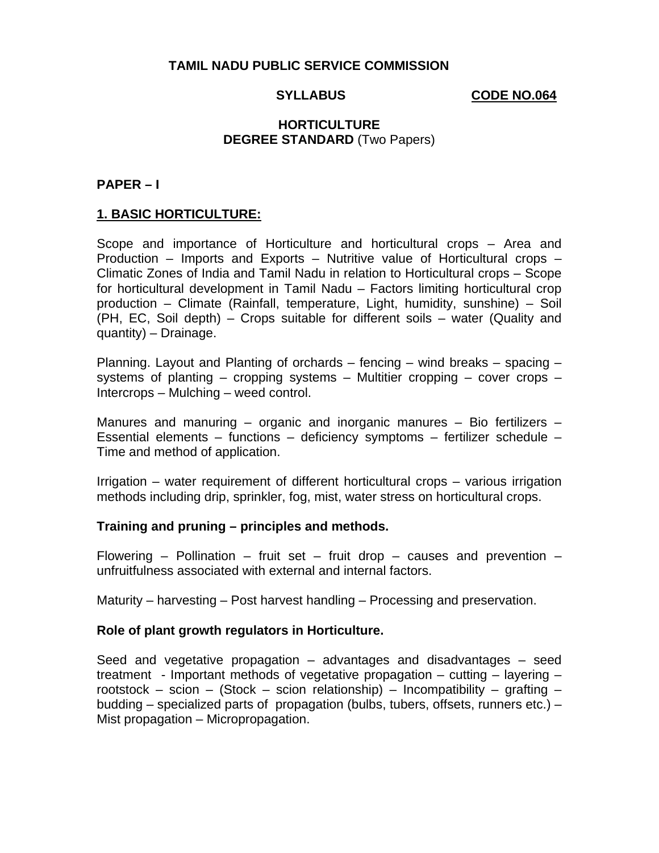# SYLLABUS **CODE NO.064**

# **HORTICULTURE DEGREE STANDARD** (Two Papers)

### **PAPER – I**

### **1. BASIC HORTICULTURE:**

Scope and importance of Horticulture and horticultural crops – Area and Production – Imports and Exports – Nutritive value of Horticultural crops – Climatic Zones of India and Tamil Nadu in relation to Horticultural crops – Scope for horticultural development in Tamil Nadu – Factors limiting horticultural crop production – Climate (Rainfall, temperature, Light, humidity, sunshine) – Soil (PH, EC, Soil depth) – Crops suitable for different soils – water (Quality and quantity) – Drainage.

Planning. Layout and Planting of orchards – fencing – wind breaks – spacing – systems of planting – cropping systems – Multitier cropping – cover crops – Intercrops – Mulching – weed control.

Manures and manuring – organic and inorganic manures – Bio fertilizers – Essential elements – functions – deficiency symptoms – fertilizer schedule – Time and method of application.

Irrigation – water requirement of different horticultural crops – various irrigation methods including drip, sprinkler, fog, mist, water stress on horticultural crops.

### **Training and pruning – principles and methods.**

Flowering – Pollination – fruit set – fruit drop – causes and prevention – unfruitfulness associated with external and internal factors.

Maturity – harvesting – Post harvest handling – Processing and preservation.

### **Role of plant growth regulators in Horticulture.**

Seed and vegetative propagation – advantages and disadvantages – seed treatment - Important methods of vegetative propagation – cutting – layering – rootstock – scion – (Stock – scion relationship) – Incompatibility – grafting – budding – specialized parts of propagation (bulbs, tubers, offsets, runners etc.) – Mist propagation – Micropropagation.